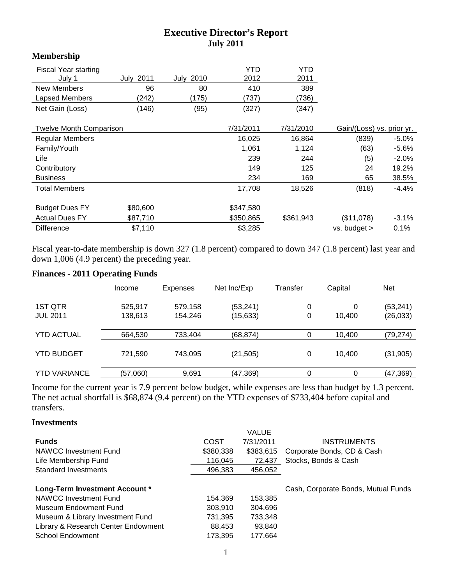# **Executive Director's Report July 2011**

### **Membership**

| <b>Fiscal Year starting</b>    |                  |                  | YTD       | YTD       |                           |          |
|--------------------------------|------------------|------------------|-----------|-----------|---------------------------|----------|
| July 1                         | <b>July 2011</b> | <b>July 2010</b> | 2012      | 2011      |                           |          |
| New Members                    | 96               | 80               | 410       | 389       |                           |          |
| Lapsed Members                 | (242)            | (175)            | (737)     | (736)     |                           |          |
| Net Gain (Loss)                | (146)            | (95)             | (327)     | (347)     |                           |          |
| <b>Twelve Month Comparison</b> |                  |                  | 7/31/2011 | 7/31/2010 | Gain/(Loss) vs. prior yr. |          |
| <b>Regular Members</b>         |                  |                  | 16,025    | 16,864    | (839)                     | $-5.0\%$ |
| Family/Youth                   |                  |                  | 1,061     | 1,124     | (63)                      | $-5.6%$  |
| Life                           |                  |                  | 239       | 244       | (5)                       | $-2.0%$  |
| Contributory                   |                  |                  | 149       | 125       | 24                        | 19.2%    |
| <b>Business</b>                |                  |                  | 234       | 169       | 65                        | 38.5%    |
| <b>Total Members</b>           |                  |                  | 17,708    | 18,526    | (818)                     | $-4.4%$  |
| <b>Budget Dues FY</b>          | \$80,600         |                  | \$347,580 |           |                           |          |
| <b>Actual Dues FY</b>          | \$87,710         |                  | \$350,865 | \$361,943 | (\$11,078)                | $-3.1%$  |
| <b>Difference</b>              | \$7,110          |                  | \$3,285   |           | $vs.$ budget $>$          | 0.1%     |

Fiscal year-to-date membership is down 327 (1.8 percent) compared to down 347 (1.8 percent) last year and down 1,006 (4.9 percent) the preceding year.

# **Finances - 2011 Operating Funds**

|                     | Income   | Expenses | Net Inc/Exp | Transfer | Capital | <b>Net</b> |
|---------------------|----------|----------|-------------|----------|---------|------------|
| 1ST QTR             | 525,917  | 579,158  | (53, 241)   | 0        | 0       | (53, 241)  |
| <b>JUL 2011</b>     | 138,613  | 154,246  | (15, 633)   | 0        | 10.400  | (26, 033)  |
| <b>YTD ACTUAL</b>   | 664,530  | 733.404  | (68, 874)   | 0        | 10.400  | (79, 274)  |
| <b>YTD BUDGET</b>   | 721,590  | 743,095  | (21, 505)   | 0        | 10.400  | (31, 905)  |
| <b>YTD VARIANCE</b> | (57,060) | 9.691    | (47, 369)   | 0        | 0       | (47, 369)  |

Income for the current year is 7.9 percent below budget, while expenses are less than budget by 1.3 percent. The net actual shortfall is \$68,874 (9.4 percent) on the YTD expenses of \$733,404 before capital and transfers.

### **Investments**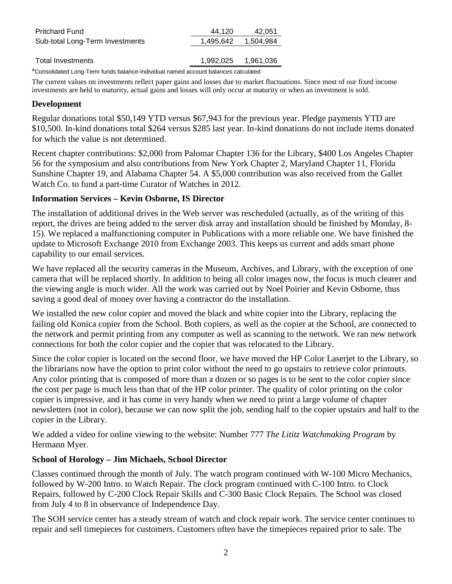| <b>Pritchard Fund</b>           | 44.120    | 42.051    |
|---------------------------------|-----------|-----------|
| Sub-total Long-Term Investments | 1,495,642 | 1,504,984 |
|                                 |           |           |
| Total Investments               | 1,992,025 | 1,961,036 |
| $\sim$                          |           |           |

\*Consolidated Long-Term funds balance-Individual named account balances calculated

The current values on investments reflect paper gains and losses due to market fluctuations. Since most of our fixed income investments are held to maturity, actual gains and losses will only occur at maturity or when an investment is sold.

#### **Development**

Regular donations total \$50,149 YTD versus \$67,943 for the previous year. Pledge payments YTD are \$10,500. In-kind donations total \$264 versus \$285 last year. In-kind donations do not include items donated for which the value is not determined.

Recent chapter contributions: \$2,000 from Palomar Chapter 136 for the Library, \$400 Los Angeles Chapter 56 for the symposium and also contributions from New York Chapter 2, Maryland Chapter 11, Florida Sunshine Chapter 19, and Alabama Chapter 54. A \$5,000 contribution was also received from the Gallet Watch Co. to fund a part-time Curator of Watches in 2012.

## **Information Services – Kevin Osborne, IS Director**

The installation of additional drives in the Web server was rescheduled (actually, as of the writing of this report, the drives are being added to the server disk array and installation should be finished by Monday, 8- 15). We replaced a malfunctioning computer in Publications with a more reliable one. We have finished the update to Microsoft Exchange 2010 from Exchange 2003. This keeps us current and adds smart phone capability to our email services.

We have replaced all the security cameras in the Museum, Archives, and Library, with the exception of one camera that will be replaced shortly. In addition to being all color images now, the focus is much clearer and the viewing angle is much wider. All the work was carried out by Noel Poirier and Kevin Osborne, thus saving a good deal of money over having a contractor do the installation.

We installed the new color copier and moved the black and white copier into the Library, replacing the failing old Konica copier from the School. Both copiers, as well as the copier at the School, are connected to the network and permit printing from any computer as well as scanning to the network. We ran new network connections for both the color copier and the copier that was relocated to the Library.

Since the color copier is located on the second floor, we have moved the HP Color Laserjet to the Library, so the librarians now have the option to print color without the need to go upstairs to retrieve color printouts. Any color printing that is composed of more than a dozen or so pages is to be sent to the color copier since the cost per page is much less than that of the HP color printer. The quality of color printing on the color copier is impressive, and it has come in very handy when we need to print a large volume of chapter newsletters (not in color), because we can now split the job, sending half to the copier upstairs and half to the copier in the Library.

We added a video for online viewing to the website: Number 777 *The Lititz Watchmaking Program* by Hermann Myer.

### **School of Horology – Jim Michaels, School Director**

Classes continued through the month of July. The watch program continued with W-100 Micro Mechanics, followed by W-200 Intro. to Watch Repair. The clock program continued with C-100 Intro. to Clock Repairs, followed by C-200 Clock Repair Skills and C-300 Basic Clock Repairs. The School was closed from July 4 to 8 in observance of Independence Day.

The SOH service center has a steady stream of watch and clock repair work. The service center continues to repair and sell timepieces for customers. Customers often have the timepieces repaired prior to sale. The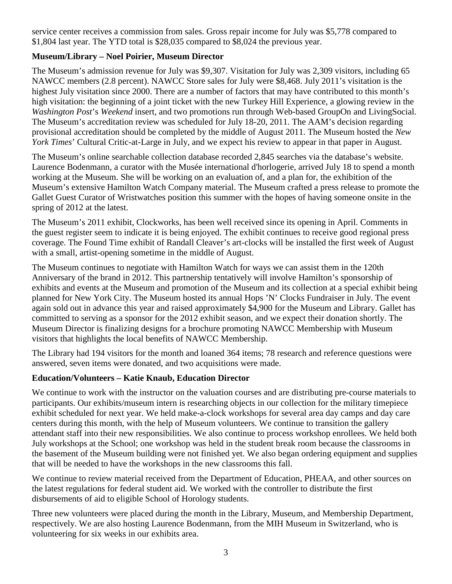service center receives a commission from sales. Gross repair income for July was \$5,778 compared to \$1,804 last year. The YTD total is \$28,035 compared to \$8,024 the previous year.

## **Museum/Library – Noel Poirier, Museum Director**

The Museum's admission revenue for July was \$9,307. Visitation for July was 2,309 visitors, including 65 NAWCC members (2.8 percent). NAWCC Store sales for July were \$8,468. July 2011's visitation is the highest July visitation since 2000. There are a number of factors that may have contributed to this month's high visitation: the beginning of a joint ticket with the new Turkey Hill Experience, a glowing review in the *Washington Post*'s *Weekend* insert, and two promotions run through Web-based GroupOn and LivingSocial. The Museum's accreditation review was scheduled for July 18-20, 2011. The AAM's decision regarding provisional accreditation should be completed by the middle of August 2011. The Museum hosted the *New York Times*' Cultural Critic-at-Large in July, and we expect his review to appear in that paper in August.

The Museum's online searchable collection database recorded 2,845 searches via the database's website. Laurence Bodenmann, a curator with the Musée international d'horlogerie, arrived July 18 to spend a month working at the Museum. She will be working on an evaluation of, and a plan for, the exhibition of the Museum's extensive Hamilton Watch Company material. The Museum crafted a press release to promote the Gallet Guest Curator of Wristwatches position this summer with the hopes of having someone onsite in the spring of 2012 at the latest.

The Museum's 2011 exhibit, Clockworks, has been well received since its opening in April. Comments in the guest register seem to indicate it is being enjoyed. The exhibit continues to receive good regional press coverage. The Found Time exhibit of Randall Cleaver's art-clocks will be installed the first week of August with a small, artist-opening sometime in the middle of August.

The Museum continues to negotiate with Hamilton Watch for ways we can assist them in the 120th Anniversary of the brand in 2012. This partnership tentatively will involve Hamilton's sponsorship of exhibits and events at the Museum and promotion of the Museum and its collection at a special exhibit being planned for New York City. The Museum hosted its annual Hops 'N' Clocks Fundraiser in July. The event again sold out in advance this year and raised approximately \$4,900 for the Museum and Library. Gallet has committed to serving as a sponsor for the 2012 exhibit season, and we expect their donation shortly. The Museum Director is finalizing designs for a brochure promoting NAWCC Membership with Museum visitors that highlights the local benefits of NAWCC Membership.

The Library had 194 visitors for the month and loaned 364 items; 78 research and reference questions were answered, seven items were donated, and two acquisitions were made.

### **Education/Volunteers – Katie Knaub, Education Director**

We continue to work with the instructor on the valuation courses and are distributing pre-course materials to participants. Our exhibits/museum intern is researching objects in our collection for the military timepiece exhibit scheduled for next year. We held make-a-clock workshops for several area day camps and day care centers during this month, with the help of Museum volunteers. We continue to transition the gallery attendant staff into their new responsibilities. We also continue to process workshop enrollees. We held both July workshops at the School; one workshop was held in the student break room because the classrooms in the basement of the Museum building were not finished yet. We also began ordering equipment and supplies that will be needed to have the workshops in the new classrooms this fall.

We continue to review material received from the Department of Education, PHEAA, and other sources on the latest regulations for federal student aid. We worked with the controller to distribute the first disbursements of aid to eligible School of Horology students.

Three new volunteers were placed during the month in the Library, Museum, and Membership Department, respectively. We are also hosting Laurence Bodenmann, from the MIH Museum in Switzerland, who is volunteering for six weeks in our exhibits area.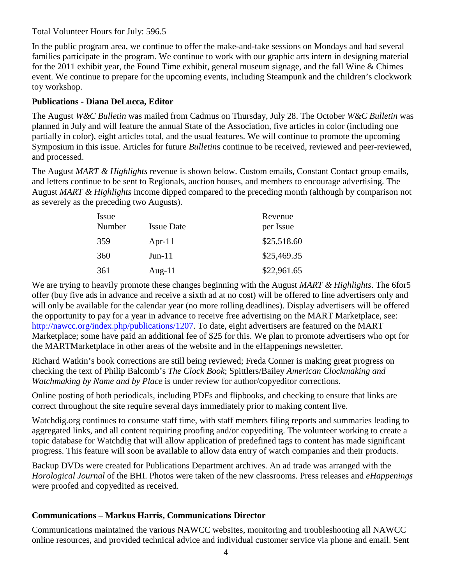#### Total Volunteer Hours for July: 596.5

In the public program area, we continue to offer the make-and-take sessions on Mondays and had several families participate in the program. We continue to work with our graphic arts intern in designing material for the 2011 exhibit year, the Found Time exhibit, general museum signage, and the fall Wine & Chimes event. We continue to prepare for the upcoming events, including Steampunk and the children's clockwork toy workshop.

## **Publications - Diana DeLucca, Editor**

The August *W&C Bulletin* was mailed from Cadmus on Thursday, July 28. The October *W&C Bulletin* was planned in July and will feature the annual State of the Association, five articles in color (including one partially in color), eight articles total, and the usual features. We will continue to promote the upcoming Symposium in this issue. Articles for future *Bulletin*s continue to be received, reviewed and peer-reviewed, and processed.

The August *MART & Highlights* revenue is shown below. Custom emails, Constant Contact group emails, and letters continue to be sent to Regionals, auction houses, and members to encourage advertising. The August *MART & Highlights* income dipped compared to the preceding month (although by comparison not as severely as the preceding two Augusts).

| Issue<br>Number | <b>Issue Date</b> | Revenue<br>per Issue |
|-----------------|-------------------|----------------------|
| 359             | Apr- $11$         | \$25,518.60          |
| 360             | $Jun-11$          | \$25,469.35          |
| 361             | Aug- $11$         | \$22,961.65          |

We are trying to heavily promote these changes beginning with the August *MART & Highlights*. The 6for5 offer (buy five ads in advance and receive a sixth ad at no cost) will be offered to line advertisers only and will only be available for the calendar year (no more rolling deadlines). Display advertisers will be offered the opportunity to pay for a year in advance to receive free advertising on the MART Marketplace, see: [http://nawcc.org/index.php/publications/1207.](http://nawcc.org/index.php/publications/1207) To date, eight advertisers are featured on the MART Marketplace; some have paid an additional fee of \$25 for this. We plan to promote advertisers who opt for the MARTMarketplace in other areas of the website and in the eHappenings newsletter.

Richard Watkin's book corrections are still being reviewed; Freda Conner is making great progress on checking the text of Philip Balcomb's *The Clock Book*; Spittlers/Bailey *American Clockmaking and Watchmaking by Name and by Place* is under review for author/copyeditor corrections.

Online posting of both periodicals, including PDFs and flipbooks, and checking to ensure that links are correct throughout the site require several days immediately prior to making content live.

Watchdig.org continues to consume staff time, with staff members filing reports and summaries leading to aggregated links, and all content requiring proofing and/or copyediting. The volunteer working to create a topic database for Watchdig that will allow application of predefined tags to content has made significant progress. This feature will soon be available to allow data entry of watch companies and their products.

Backup DVDs were created for Publications Department archives. An ad trade was arranged with the *Horological Journal* of the BHI. Photos were taken of the new classrooms. Press releases and *eHappenings* were proofed and copyedited as received.

### **Communications – Markus Harris, Communications Director**

Communications maintained the various NAWCC websites, monitoring and troubleshooting all NAWCC online resources, and provided technical advice and individual customer service via phone and email. Sent